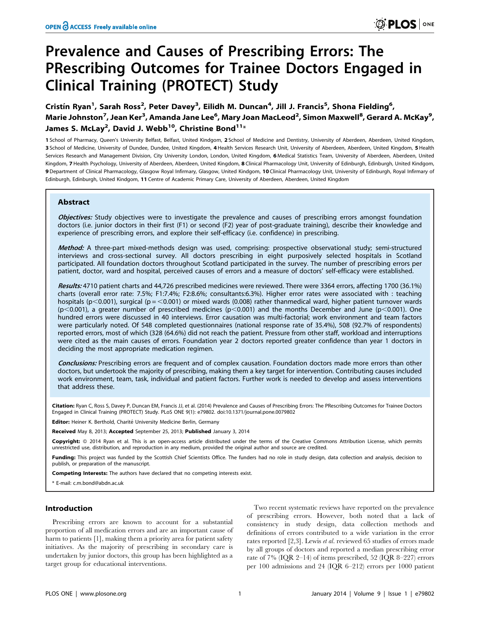# Prevalence and Causes of Prescribing Errors: The PRescribing Outcomes for Trainee Doctors Engaged in Clinical Training (PROTECT) Study

Cristín Ryan<sup>1</sup>, Sarah Ross<sup>2</sup>, Peter Davey<sup>3</sup>, Eilidh M. Duncan<sup>4</sup>, Jill J. Francis<sup>5</sup>, Shona Fielding<sup>6</sup>, Marie Johnston<sup>7</sup>, Jean Ker<sup>3</sup>, Amanda Jane Lee<sup>6</sup>, Mary Joan MacLeod<sup>2</sup>, Simon Maxwell<sup>8</sup>, Gerard A. McKay<sup>9</sup>, James S. McLay<sup>2</sup>, David J. Webb<sup>10</sup>, Christine Bond<sup>11</sup>\*

1 School of Pharmacy, Queen's University Belfast, Belfast, United Kindgom, 2 School of Medicine and Dentistry, University of Aberdeen, Aberdeen, United Kingdom, 3 School of Medicine, University of Dundee, Dundee, United Kingdom, 4 Health Services Research Unit, University of Aberdeen, Aberdeen, United Kingdom, 5 Health Services Research and Management Division, City University London, London, United Kingdom, 6 Medical Statistics Team, University of Aberdeen, Aberdeen, United Kingdom, 7 Health Psychology, University of Aberdeen, Aberdeen, United Kingdom, 8 Clinical Pharmacology Unit, University of Edinburgh, Edinburgh, United Kindgom, 9 Department of Clinical Pharmacology, Glasgow Royal Infirmary, Glasgow, United Kindgom, 10 Clinical Pharmacology Unit, University of Edinburgh, Royal Infirmary of Edinburgh, Edinburgh, United Kindgom, 11 Centre of Academic Primary Care, University of Aberdeen, Aberdeen, United Kingdom

# Abstract

Objectives: Study objectives were to investigate the prevalence and causes of prescribing errors amongst foundation doctors (i.e. junior doctors in their first (F1) or second (F2) year of post-graduate training), describe their knowledge and experience of prescribing errors, and explore their self-efficacy (i.e. confidence) in prescribing.

Method: A three-part mixed-methods design was used, comprising: prospective observational study; semi-structured interviews and cross-sectional survey. All doctors prescribing in eight purposively selected hospitals in Scotland participated. All foundation doctors throughout Scotland participated in the survey. The number of prescribing errors per patient, doctor, ward and hospital, perceived causes of errors and a measure of doctors' self-efficacy were established.

Results: 4710 patient charts and 44,726 prescribed medicines were reviewed. There were 3364 errors, affecting 1700 (36.1%) charts (overall error rate: 7.5%; F1:7.4%; F2:8.6%; consultants:6.3%). Higher error rates were associated with : teaching hospitals (p<0.001), surgical (p =  $<$ 0.001) or mixed wards (0.008) rather thanmedical ward, higher patient turnover wards  $(p<0.001)$ , a greater number of prescribed medicines ( $p<0.001$ ) and the months December and June ( $p<0.001$ ). One hundred errors were discussed in 40 interviews. Error causation was multi-factorial; work environment and team factors were particularly noted. Of 548 completed questionnaires (national response rate of 35.4%), 508 (92.7% of respondents) reported errors, most of which (328 (64.6%) did not reach the patient. Pressure from other staff, workload and interruptions were cited as the main causes of errors. Foundation year 2 doctors reported greater confidence than year 1 doctors in deciding the most appropriate medication regimen.

Conclusions: Prescribing errors are frequent and of complex causation. Foundation doctors made more errors than other doctors, but undertook the majority of prescribing, making them a key target for intervention. Contributing causes included work environment, team, task, individual and patient factors. Further work is needed to develop and assess interventions that address these.

Citation: Ryan C, Ross S, Davey P, Duncan EM, Francis JJ, et al. (2014) Prevalence and Causes of Prescribing Errors: The PRescribing Outcomes for Trainee Doctors Engaged in Clinical Training (PROTECT) Study. PLoS ONE 9(1): e79802. doi:10.1371/journal.pone.0079802

Editor: Heiner K. Berthold, Charité University Medicine Berlin, Germany

Received May 8, 2013; Accepted September 25, 2013; Published January 3, 2014

Copyright: © 2014 Ryan et al. This is an open-access article distributed under the terms of the Creative Commons Attribution License, which permits unrestricted use, distribution, and reproduction in any medium, provided the original author and source are credited.

Funding: This project was funded by the Scottish Chief Scientists Office. The funders had no role in study design, data collection and analysis, decision to publish, or preparation of the manuscript.

Competing Interests: The authors have declared that no competing interests exist.

\* E-mail: c.m.bond@abdn.ac.uk

# Introduction

Prescribing errors are known to account for a substantial proportion of all medication errors and are an important cause of harm to patients [1], making them a priority area for patient safety initiatives. As the majority of prescribing in secondary care is undertaken by junior doctors, this group has been highlighted as a target group for educational interventions.

Two recent systematic reviews have reported on the prevalence of prescribing errors. However, both noted that a lack of consistency in study design, data collection methods and definitions of errors contributed to a wide variation in the error rates reported [2,3]. Lewis et al. reviewed 65 studies of errors made by all groups of doctors and reported a median prescribing error rate of 7% (IQR 2–14) of items prescribed, 52 (IQR 8–227) errors per 100 admissions and 24 (IQR 6–212) errors per 1000 patient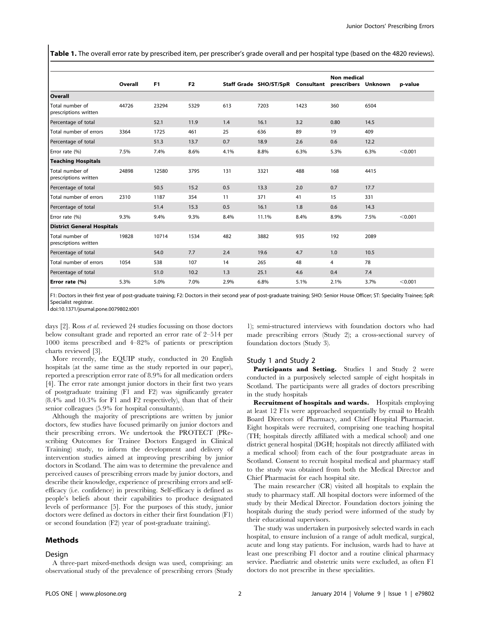Table 1. The overall error rate by prescribed item, per prescriber's grade overall and per hospital type (based on the 4820 reviews).

|                                          | Overall | F <sub>1</sub> | F <sub>2</sub> |      | Staff Grade SHO/ST/SpR Consultant prescribers Unknown |      | <b>Non medical</b> |      | p-value |
|------------------------------------------|---------|----------------|----------------|------|-------------------------------------------------------|------|--------------------|------|---------|
| Overall                                  |         |                |                |      |                                                       |      |                    |      |         |
| Total number of<br>prescriptions written | 44726   | 23294          | 5329           | 613  | 7203                                                  | 1423 | 360                | 6504 |         |
| Percentage of total                      |         | 52.1           | 11.9           | 1.4  | 16.1                                                  | 3.2  | 0.80               | 14.5 |         |
| Total number of errors                   | 3364    | 1725           | 461            | 25   | 636                                                   | 89   | 19                 | 409  |         |
| Percentage of total                      |         | 51.3           | 13.7           | 0.7  | 18.9                                                  | 2.6  | 0.6                | 12.2 |         |
| Error rate (%)                           | 7.5%    | 7.4%           | 8.6%           | 4.1% | 8.8%                                                  | 6.3% | 5.3%               | 6.3% | < 0.001 |
| <b>Teaching Hospitals</b>                |         |                |                |      |                                                       |      |                    |      |         |
| Total number of<br>prescriptions written | 24898   | 12580          | 3795           | 131  | 3321                                                  | 488  | 168                | 4415 |         |
| Percentage of total                      |         | 50.5           | 15.2           | 0.5  | 13.3                                                  | 2.0  | 0.7                | 17.7 |         |
| Total number of errors                   | 2310    | 1187           | 354            | 11   | 371                                                   | 41   | 15                 | 331  |         |
| Percentage of total                      |         | 51.4           | 15.3           | 0.5  | 16.1                                                  | 1.8  | 0.6                | 14.3 |         |
| Error rate (%)                           | 9.3%    | 9.4%           | 9.3%           | 8.4% | 11.1%                                                 | 8.4% | 8.9%               | 7.5% | < 0.001 |
| <b>District General Hospitals</b>        |         |                |                |      |                                                       |      |                    |      |         |
| Total number of<br>prescriptions written | 19828   | 10714          | 1534           | 482  | 3882                                                  | 935  | 192                | 2089 |         |
| Percentage of total                      |         | 54.0           | 7.7            | 2.4  | 19.6                                                  | 4.7  | 1.0                | 10.5 |         |
| Total number of errors                   | 1054    | 538            | 107            | 14   | 265                                                   | 48   | 4                  | 78   |         |
| Percentage of total                      |         | 51.0           | 10.2           | 1.3  | 25.1                                                  | 4.6  | 0.4                | 7.4  |         |
| Error rate (%)                           | 5.3%    | 5.0%           | 7.0%           | 2.9% | 6.8%                                                  | 5.1% | 2.1%               | 3.7% | < 0.001 |

F1: Doctors in their first year of post-graduate training; F2: Doctors in their second year of post-graduate training; SHO: Senior House Officer; ST: Speciality Trainee; SpR: Specialist registrar

doi:10.1371/journal.pone.0079802.t001

days [2]. Ross et al. reviewed 24 studies focussing on those doctors below consultant grade and reported an error rate of 2–514 per 1000 items prescribed and 4–82% of patients or prescription charts reviewed [3].

More recently, the EQUIP study, conducted in 20 English hospitals (at the same time as the study reported in our paper), reported a prescription error rate of 8.9% for all medication orders [4]. The error rate amongst junior doctors in their first two years of postgraduate training (F1 and F2) was significantly greater (8.4% and 10.3% for F1 and F2 respectively), than that of their senior colleagues (5.9% for hospital consultants).

Although the majority of prescriptions are written by junior doctors, few studies have focused primarily on junior doctors and their prescribing errors. We undertook the PROTECT (PRescribing Outcomes for Trainee Doctors Engaged in Clinical Training) study, to inform the development and delivery of intervention studies aimed at improving prescribing by junior doctors in Scotland. The aim was to determine the prevalence and perceived causes of prescribing errors made by junior doctors, and describe their knowledge, experience of prescribing errors and selfefficacy (i.e. confidence) in prescribing. Self-efficacy is defined as people's beliefs about their capabilities to produce designated levels of performance [5]. For the purposes of this study, junior doctors were defined as doctors in either their first foundation (F1) or second foundation (F2) year of post-graduate training).

#### Methods

#### Design

A three-part mixed-methods design was used, comprising: an observational study of the prevalence of prescribing errors (Study

1); semi-structured interviews with foundation doctors who had made prescribing errors (Study 2); a cross-sectional survey of foundation doctors (Study 3).

#### Study 1 and Study 2

Participants and Setting. Studies 1 and Study 2 were conducted in a purposively selected sample of eight hospitals in Scotland. The participants were all grades of doctors prescribing in the study hospitals

Recruitment of hospitals and wards. Hospitals employing at least 12 F1s were approached sequentially by email to Health Board Directors of Pharmacy, and Chief Hospital Pharmacist. Eight hospitals were recruited, comprising one teaching hospital (TH; hospitals directly affiliated with a medical school) and one district general hospital (DGH; hospitals not directly affiliated with a medical school) from each of the four postgraduate areas in Scotland. Consent to recruit hospital medical and pharmacy staff to the study was obtained from both the Medical Director and Chief Pharmacist for each hospital site.

The main researcher (CR) visited all hospitals to explain the study to pharmacy staff. All hospital doctors were informed of the study by their Medical Director. Foundation doctors joining the hospitals during the study period were informed of the study by their educational supervisors.

The study was undertaken in purposively selected wards in each hospital, to ensure inclusion of a range of adult medical, surgical, acute and long stay patients. For inclusion, wards had to have at least one prescribing F1 doctor and a routine clinical pharmacy service. Paediatric and obstetric units were excluded, as often F1 doctors do not prescribe in these specialities.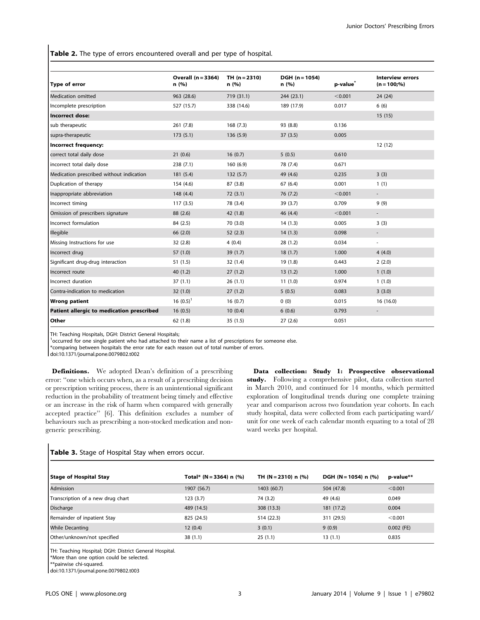Table 2. The type of errors encountered overall and per type of hospital.

| Type of error                             | <b>Overall (n = 3364)</b><br>n(%) | $TH (n = 2310)$<br>n(%) | DGH (n = 1054)<br>n(%) | p-value <sup>®</sup> | <b>Interview errors</b><br>$(n = 100;%)$ |
|-------------------------------------------|-----------------------------------|-------------------------|------------------------|----------------------|------------------------------------------|
| <b>Medication omitted</b>                 | 963 (28.6)                        | 719 (31.1)              | 244(23.1)              | < 0.001              | 24 (24)                                  |
| Incomplete prescription                   | 527 (15.7)                        | 338 (14.6)              | 189 (17.9)             | 0.017                | 6(6)                                     |
| <b>Incorrect dose:</b>                    |                                   |                         |                        |                      | 15(15)                                   |
| sub therapeutic                           | 261 (7.8)                         | 168(7.3)                | 93 (8.8)               | 0.136                |                                          |
| supra-therapeutic                         | 173(5.1)                          | 136(5.9)                | 37(3.5)                | 0.005                |                                          |
| Incorrect frequency:                      |                                   |                         |                        |                      | 12(12)                                   |
| correct total daily dose                  | 21(0.6)                           | 16(0.7)                 | 5(0.5)                 | 0.610                |                                          |
| incorrect total daily dose                | 238 (7.1)                         | 160(6.9)                | 78 (7.4)               | 0.671                |                                          |
| Medication prescribed without indication  | 181(5.4)                          | 132(5.7)                | 49 (4.6)               | 0.235                | 3(3)                                     |
| Duplication of therapy                    | 154 (4.6)                         | 87(3.8)                 | 67(6.4)                | 0.001                | 1(1)                                     |
| Inappropriate abbreviation                | 148 (4.4)                         | 72(3.1)                 | 76(7.2)                | < 0.001              |                                          |
| Incorrect timing                          | 117(3.5)                          | 78 (3.4)                | 39 (3.7)               | 0.709                | 9(9)                                     |
| Omission of prescribers signature         | 88 (2.6)                          | 42 (1.8)                | 46 (4.4)               | < 0.001              | $\overline{\phantom{a}}$                 |
| Incorrect formulation                     | 84 (2.5)                          | 70 (3.0)                | 14(1.3)                | 0.005                | 3(3)                                     |
| Illegible                                 | 66 (2.0)                          | 52(2.3)                 | 14(1.3)                | 0.098                | $\overline{\phantom{a}}$                 |
| Missing Instructions for use              | 32(2.8)                           | 4(0.4)                  | 28(1.2)                | 0.034                | $\overline{\phantom{a}}$                 |
| Incorrect drug                            | 57(1.0)                           | 39(1.7)                 | 18(1.7)                | 1.000                | 4(4.0)                                   |
| Significant drug-drug interaction         | 51(1.5)                           | 32(1.4)                 | 19(1.8)                | 0.443                | 2(2.0)                                   |
| Incorrect route                           | 40(1.2)                           | 27(1.2)                 | 13(1.2)                | 1.000                | 1(1.0)                                   |
| Incorrect duration                        | 37(1.1)                           | 26(1.1)                 | 11(1.0)                | 0.974                | 1(1.0)                                   |
| Contra-indication to medication           | 32(1.0)                           | 27(1.2)                 | 5(0.5)                 | 0.083                | 3(3.0)                                   |
| <b>Wrong patient</b>                      | 16 $(0.5)^1$                      | 16(0.7)                 | 0(0)                   | 0.015                | 16(16.0)                                 |
| Patient allergic to medication prescribed | 16(0.5)                           | 10(0.4)                 | 6(0.6)                 | 0.793                |                                          |
| Other                                     | 62(1.8)                           | 35(1.5)                 | 27(2.6)                | 0.051                |                                          |

TH: Teaching Hospitals, DGH: District General Hospitals;

<sup>1</sup>occurred for one single patient who had attached to their name a list of prescriptions for someone else.

\*comparing between hospitals the error rate for each reason out of total number of errors.

doi:10.1371/journal.pone.0079802.t002

Definitions. We adopted Dean's definition of a prescribing error: ''one which occurs when, as a result of a prescribing decision or prescription writing process, there is an unintentional significant reduction in the probability of treatment being timely and effective or an increase in the risk of harm when compared with generally accepted practice'' [6]. This definition excludes a number of behaviours such as prescribing a non-stocked medication and nongeneric prescribing.

Data collection: Study 1: Prospective observational study. Following a comprehensive pilot, data collection started in March 2010, and continued for 14 months, which permitted exploration of longitudinal trends during one complete training year and comparison across two foundation year cohorts. In each study hospital, data were collected from each participating ward/ unit for one week of each calendar month equating to a total of 28 ward weeks per hospital.

# Table 3. Stage of Hospital Stay when errors occur.

| p-value**    |
|--------------|
| < 0.001      |
| 0.049        |
| 0.004        |
| < 0.001      |
| $0.002$ (FE) |
| 0.835        |
|              |

TH: Teaching Hospital; DGH: District General Hospital.

doi:10.1371/journal.pone.0079802.t003

<sup>\*</sup>More than one option could be selected.

<sup>\*\*</sup>pairwise chi-squared.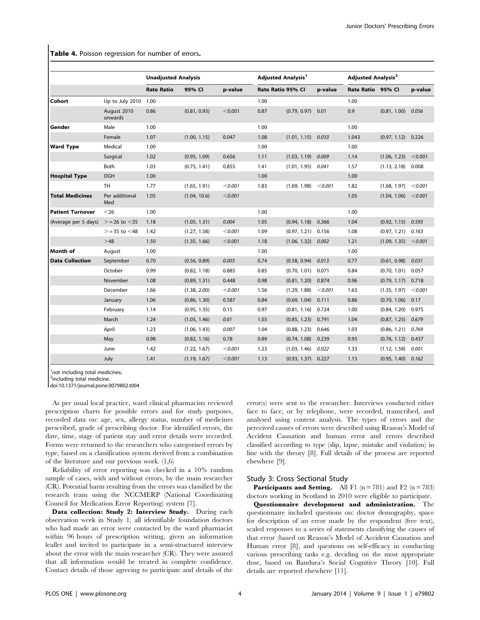Table 4. Poisson regression for number of errors.

|                         |                        | <b>Unadjusted Analysis</b> |              |         | <b>Adjusted Analysis<sup>1</sup></b> |                      |         | <b>Adjusted Analysis<sup>2</sup></b> |                      |         |
|-------------------------|------------------------|----------------------------|--------------|---------|--------------------------------------|----------------------|---------|--------------------------------------|----------------------|---------|
|                         |                        | <b>Rate Ratio</b>          | 95% CI       | p-value | Rate Ratio 95% Cl                    |                      | p-value | Rate Ratio 95% Cl                    |                      | p-value |
| Cohort                  | Up to July 2010        | 1.00                       |              |         | 1.00                                 |                      |         | 1.00                                 |                      |         |
|                         | August 2010<br>onwards | 0.86                       | (0.81, 0.93) | < 0.001 | 0.87                                 | $(0.79, 0.97)$ 0.01  |         | 0.9                                  | $(0.81, 1.00)$ 0.056 |         |
| Gender                  | Male                   | 1.00                       |              |         | 1.00                                 |                      |         | 1.00                                 |                      |         |
|                         | Female                 | 1.07                       | (1.00, 1.15) | 0.047   | 1.08                                 | (1.01, 1.15)         | 0.033   | 1.043                                | $(0.97, 1.12)$ 0.226 |         |
| <b>Ward Type</b>        | Medical                | 1.00                       |              |         | 1.00                                 |                      |         | 1.00                                 |                      |         |
|                         | Surgical               | 1.02                       | (0.95, 1.09) | 0.656   | 1.11                                 | (1.03, 1.19)         | 0.009   | 1.14                                 | (1.06, 1.23)         | < 0.001 |
|                         | Both                   | 1.03                       | (0.75, 1.41) | 0.855   | 1.41                                 | $(1.01, 1.95)$ 0.041 |         | 1.57                                 | (1.13, 2.18)         | 0.008   |
| <b>Hospital Type</b>    | <b>DGH</b>             | 1.00                       |              |         | 1.00                                 |                      |         | 1.00                                 |                      |         |
|                         | <b>TH</b>              | 1.77                       | (1.65, 1.91) | < 0.001 | 1.83                                 | (1.69, 1.98)         | < 0.001 | 1.82                                 | (1.68, 1.97)         | < 0.001 |
| <b>Total Medicines</b>  | Per additional<br>Med  | 1.05                       | (1.04, 10.6) | < 0.001 |                                      |                      |         | 1.05                                 | (1.04, 1.06)         | < 0.001 |
| <b>Patient Turnover</b> | $<$ 26                 | 1.00                       |              |         | 1.00                                 |                      |         | 1.00                                 |                      |         |
| (Average per 5 days)    | $> = 26$ to $< 35$     | 1.18                       | (1.05, 1.31) | 0.004   | 1.05                                 | (0.94, 1.18)         | 0.366   | 1.04                                 | $(0.92, 1.15)$ 0.593 |         |
|                         | $>$ = 35 to $<$ 48     | 1.42                       | (1.27, 1.58) | < 0.001 | 1.09                                 | (0.97, 1.21)         | 0.156   | 1.08                                 | (0.97, 1.21)         | 0.163   |
|                         | >48                    | 1.50                       | (1.35, 1.66) | < 0.001 | 1.18                                 | (1.06, 1.32)         | 0.002   | 1.21                                 | (1.09, 1.35)         | < 0.001 |
| Month of                | August                 | 1.00                       |              |         | 1.00                                 |                      |         | 1.00                                 |                      |         |
| <b>Data Collection</b>  | September              | 0.70                       | (0.56, 0.89) | 0.003   | 0.74                                 | (0.58, 0.94)         | 0.013   | 0.77                                 | (0.61, 0.98)         | 0.031   |
|                         | October                | 0.99                       | (0.82, 1.18) | 0.885   | 0.85                                 | (0.70, 1.01)         | 0.071   | 0.84                                 | (0.70, 1.01)         | 0.057   |
|                         | November               | 1.08                       | (0.89, 1.31) | 0.448   | 0.98                                 | (0.81, 1.20)         | 0.874   | 0.96                                 | $(0.79, 1.17)$ 0.718 |         |
|                         | December               | 1.66                       | (1.38, 2.00) | < 0.001 | 1.56                                 | (1.29, 1.88)         | < 0.001 | 1.63                                 | (1.35, 1.97)         | < 0.001 |
|                         | January                | 1.06                       | (0.86, 1.30) | 0.587   | 0.84                                 | (0.69, 1.04)         | 0.111   | 0.86                                 | (0.70, 1.06)         | 0.17    |
|                         | February               | 1.14                       | (0.95, 1.35) | 0.15    | 0.97                                 | (0.81, 1.16)         | 0.724   | 1.00                                 | (0.84, 1.20)         | 0.975   |
|                         | March                  | 1.24                       | (1.05, 1.46) | 0.01    | 1.03                                 | (0.85, 1.23)         | 0.791   | 1.04                                 | (0.87, 1.25)         | 0.679   |
|                         | April                  | 1.23                       | (1.06, 1.43) | 0.007   | 1.04                                 | (0.88, 1.23)         | 0.646   | 1.03                                 | $(0.86, 1.21)$ 0.769 |         |
|                         | May                    | 0.98                       | (0.82, 1.16) | 0.78    | 0.89                                 | (0.74, 1.08)         | 0.239   | 0.93                                 | (0.76, 1.12)         | 0.437   |
|                         | June                   | 1.42                       | (1.22, 1.67) | < 0.001 | 1.23                                 | (1.03, 1.46)         | 0.022   | 1.33                                 | (1.12, 1.58)         | 0.001   |
|                         | July                   | 1.41                       | (1.19, 1.67) | < 0.001 | 1.13                                 | (0.93, 1.37)         | 0.227   | 1.15                                 | (0.95, 1.40)         | 0.162   |

<sup>1</sup>not including total medicines;

<sup>2</sup>including total medicine.

doi:10.1371/journal.pone.0079802.t004

As per usual local practice, ward clinical pharmacists reviewed prescription charts for possible errors and for study purposes, recorded data on: age, sex, allergy status, number of medicines prescribed, grade of prescribing doctor. For identified errors, the date, time, stage of patient stay and error details were recorded. Forms were returned to the researchers who categorised errors by type, based on a classification system derived from a combination of the literature and our previous work. (1,6)

Reliability of error reporting was checked in a 10% random sample of cases, with and without errors, by the main researcher (CR). Potential harm resulting from the errors was classified by the research team using the NCCMERP (National Coordinating Council for Medication Error Reporting) system [7].

Data collection: Study 2: Interview Study. During each observation week in Study 1, all identifiable foundation doctors who had made an error were contacted by the ward pharmacist within 96 hours of prescription writing, given an information leaflet and invited to participate in a semi-structured interview about the error with the main researcher (CR). They were assured that all information would be treated in complete confidence. Contact details of those agreeing to participate and details of the error(s) were sent to the researcher. Interviews conducted either face to face, or by telephone, were recorded, transcribed, and analysed using content analysis. The types of errors and the perceived causes of errors were described using Reason's Model of Accident Causation and human error and errors described classified according to type (slip, lapse, mistake and violation) in line with the theory [8]. Full details of the process are reported elsewhere [9].

#### Study 3: Cross Sectional Study

**Participants and Setting.** All F1  $(n = 781)$  and F2  $(n = 783)$ doctors working in Scotland in 2010 were eligible to participate.

Questionnaire development and administration. The questionnaire included questions on: doctor demography, space for description of an error made by the respondent (free text), scaled responses to a series of statements classifying the causes of that error (based on Reason's Model of Accident Causation and Human error [8], and questions on self-efficacy in conducting various prescribing tasks e.g. deciding on the most appropriate dose, based on Bandura's Social Cognitive Theory [10]. Full details are reported elsewhere [11].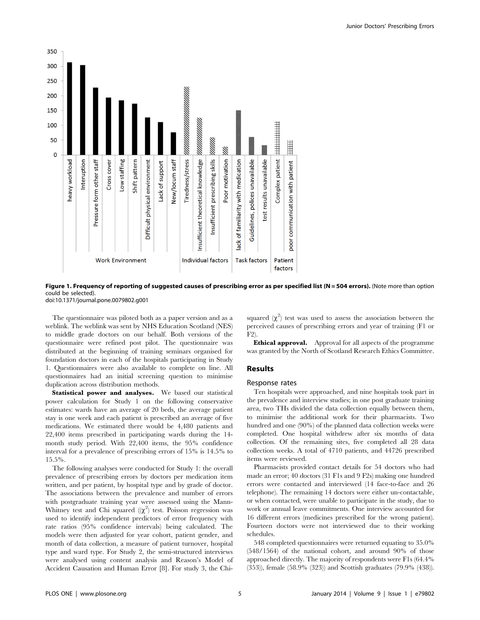

Figure 1. Frequency of reporting of suggested causes of prescribing error as per specified list (N = 504 errors). (Note more than option could be selected).

doi:10.1371/journal.pone.0079802.g001

The questionnaire was piloted both as a paper version and as a weblink. The weblink was sent by NHS Education Scotland (NES) to middle grade doctors on our behalf. Both versions of the questionnaire were refined post pilot. The questionnaire was distributed at the beginning of training seminars organised for foundation doctors in each of the hospitals participating in Study 1. Questionnaires were also available to complete on line. All questionnaires had an initial screening question to minimise duplication across distribution methods.

Statistical power and analyses. We based our statistical power calculation for Study 1 on the following conservative estimates: wards have an average of 20 beds, the average patient stay is one week and each patient is prescribed an average of five medications. We estimated there would be 4,480 patients and 22,400 items prescribed in participating wards during the 14 month study period. With 22,400 items, the 95% confidence interval for a prevalence of prescribing errors of 15% is 14.5% to 15.5%.

The following analyses were conducted for Study 1: the overall prevalence of prescribing errors by doctors per medication item written, and per patient, by hospital type and by grade of doctor. The associations between the prevalence and number of errors with postgraduate training year were assessed using the Mann-Whitney test and Chi squared  $(\chi^2)$  test. Poisson regression was used to identify independent predictors of error frequency with rate ratios (95% confidence intervals) being calculated. The models were then adjusted for year cohort, patient gender, and month of data collection, a measure of patient turnover, hospital type and ward type. For Study 2, the semi-structured interviews were analysed using content analysis and Reason's Model of Accident Causation and Human Error [8]. For study 3, the Chi-

squared  $(\chi^2)$  test was used to assess the association between the perceived causes of prescribing errors and year of training (F1 or F2).

Ethical approval. Approval for all aspects of the programme was granted by the North of Scotland Research Ethics Committee.

### Results

#### Response rates

Ten hospitals were approached, and nine hospitals took part in the prevalence and interview studies; in one post graduate training area, two THs divided the data collection equally between them, to minimise the additional work for their pharmacists. Two hundred and one (90%) of the planned data collection weeks were completed. One hospital withdrew after six months of data collection. Of the remaining sites, five completed all 28 data collection weeks. A total of 4710 patients, and 44726 prescribed items were reviewed.

Pharmacists provided contact details for 54 doctors who had made an error; 40 doctors (31 F1s and 9 F2s) making one hundred errors were contacted and interviewed (14 face-to-face and 26 telephone). The remaining 14 doctors were either un-contactable, or when contacted, were unable to participate in the study, due to work or annual leave commitments. One interview accounted for 16 different errors (medicines prescribed for the wrong patient). Fourteen doctors were not interviewed due to their working schedules.

548 completed questionnaires were returned equating to 35.0% (548/1564) of the national cohort, and around 90% of those approached directly. The majority of respondents were F1s (64.4% (353)), female (58.9% (323)) and Scottish graduates (79.9% (438)).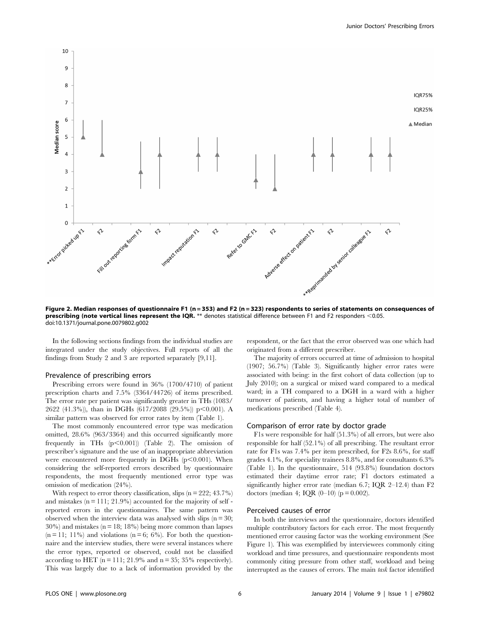

Figure 2. Median responses of questionnaire F1 (n = 353) and F2 (n = 323) respondents to series of statements on consequences of prescribing (note vertical lines represent the IQR. \*\* denotes statistical difference between F1 and F2 responders <0.05. doi:10.1371/journal.pone.0079802.g002

In the following sections findings from the individual studies are integrated under the study objectives. Full reports of all the findings from Study 2 and 3 are reported separately [9,11].

#### Prevalence of prescribing errors

Prescribing errors were found in 36% (1700/4710) of patient prescription charts and 7.5% (3364/44726) of items prescribed. The error rate per patient was significantly greater in THs (1083/ 2622 (41.3%)), than in DGHs (617/2088 (29.5%)) p $<$ 0.001). A similar pattern was observed for error rates by item (Table 1).

The most commonly encountered error type was medication omitted, 28.6% (963/3364) and this occurred significantly more frequently in THs  $(p<0.001)$  (Table 2). The omission of prescriber's signature and the use of an inappropriate abbreviation were encountered more frequently in DGHs  $(p<0.001)$ . When considering the self-reported errors described by questionnaire respondents, the most frequently mentioned error type was omission of medication (24%).

With respect to error theory classification, slips  $(n = 222; 43.7\%)$ and mistakes  $(n = 111; 21.9\%)$  accounted for the majority of self reported errors in the questionnaires. The same pattern was observed when the interview data was analysed with slips  $(n = 30;$  $30\%$ ) and mistakes (n = 18; 18%) being more common than lapses  $(n = 11; 11%)$  and violations  $(n = 6; 6%)$ . For both the questionnaire and the interview studies, there were several instances where the error types, reported or observed, could not be classified according to HET ( $n = 111$ ; 21.9% and  $n = 35$ ; 35% respectively). This was largely due to a lack of information provided by the

respondent, or the fact that the error observed was one which had originated from a different prescriber.

The majority of errors occurred at time of admission to hospital (1907; 56.7%) (Table 3). Significantly higher error rates were associated with being: in the first cohort of data collection (up to July 2010); on a surgical or mixed ward compared to a medical ward; in a TH compared to a DGH in a ward with a higher turnover of patients, and having a higher total of number of medications prescribed (Table 4).

#### Comparison of error rate by doctor grade

F1s were responsible for half (51.3%) of all errors, but were also responsible for half (52.1%) of all prescribing. The resultant error rate for F1s was 7.4% per item prescribed, for F2s 8.6%, for staff grades 4.1%, for speciality trainees 8.8%, and for consultants 6.3% (Table 1). In the questionnaire, 514 (93.8%) foundation doctors estimated their daytime error rate; F1 doctors estimated a significantly higher error rate (median 6.7; IQR 2–12.4) than F2 doctors (median 4; IQR  $(0-10)$  ( $p = 0.002$ ).

#### Perceived causes of error

In both the interviews and the questionnaire, doctors identified multiple contributory factors for each error. The most frequently mentioned error causing factor was the working environment (See Figure 1). This was exemplified by interviewees commonly citing workload and time pressures, and questionnaire respondents most commonly citing pressure from other staff, workload and being interrupted as the causes of errors. The main task factor identified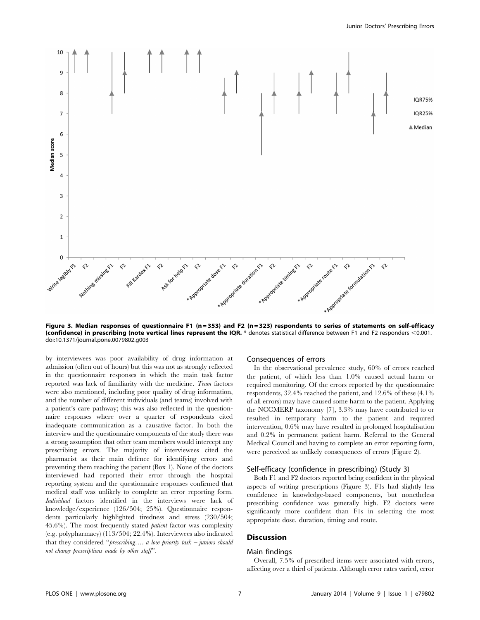

Figure 3. Median responses of questionnaire F1 (n=353) and F2 (n=323) respondents to series of statements on self-efficacy (confidence) in prescribing (note vertical lines represent the IQR.  $*$  denotes statistical difference between F1 and F2 responders <0.001. doi:10.1371/journal.pone.0079802.g003

by interviewees was poor availability of drug information at admission (often out of hours) but this was not as strongly reflected in the questionnaire responses in which the main task factor reported was lack of familiarity with the medicine. Team factors were also mentioned, including poor quality of drug information, and the number of different individuals (and teams) involved with a patient's care pathway; this was also reflected in the questionnaire responses where over a quarter of respondents cited inadequate communication as a causative factor. In both the interview and the questionnaire components of the study there was a strong assumption that other team members would intercept any prescribing errors. The majority of interviewees cited the pharmacist as their main defence for identifying errors and preventing them reaching the patient (Box 1). None of the doctors interviewed had reported their error through the hospital reporting system and the questionnaire responses confirmed that medical staff was unlikely to complete an error reporting form. Individual factors identified in the interviews were lack of knowledge/experience (126/504; 25%). Questionnaire respondents particularly highlighted tiredness and stress (230/504; 45.6%). The most frequently stated patient factor was complexity (e.g. polypharmacy) (113/504; 22.4%). Interviewees also indicated that they considered ''prescribing…. a low priority task – juniors should not change prescriptions made by other staff''.

# Consequences of errors

In the observational prevalence study, 60% of errors reached the patient, of which less than 1.0% caused actual harm or required monitoring. Of the errors reported by the questionnaire respondents, 32.4% reached the patient, and 12.6% of these (4.1% of all errors) may have caused some harm to the patient. Applying the NCCMERP taxonomy [7], 3.3% may have contributed to or resulted in temporary harm to the patient and required intervention, 0.6% may have resulted in prolonged hospitalisation and 0.2% in permanent patient harm. Referral to the General Medical Council and having to complete an error reporting form, were perceived as unlikely consequences of errors (Figure 2).

# Self-efficacy (confidence in prescribing) (Study 3)

Both F1 and F2 doctors reported being confident in the physical aspects of writing prescriptions (Figure 3). F1s had slightly less confidence in knowledge-based components, but nonetheless prescribing confidence was generally high. F2 doctors were significantly more confident than F1s in selecting the most appropriate dose, duration, timing and route.

### **Discussion**

# Main findings

Overall, 7.5% of prescribed items were associated with errors, affecting over a third of patients. Although error rates varied, error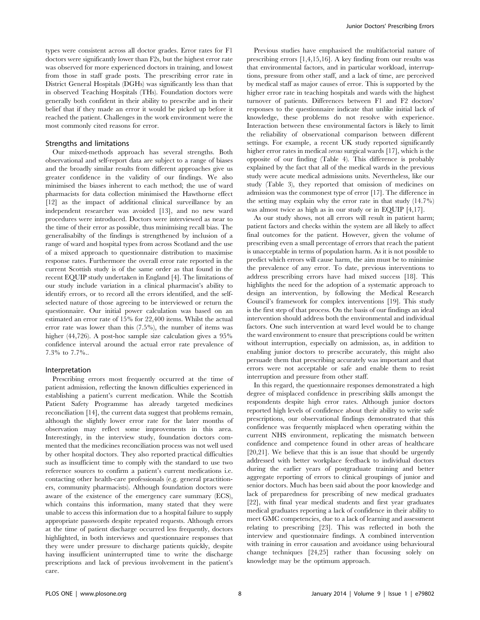types were consistent across all doctor grades. Error rates for F1 doctors were significantly lower than F2s, but the highest error rate was observed for more experienced doctors in training, and lowest from those in staff grade posts. The prescribing error rate in District General Hospitals (DGHs) was significantly less than that in observed Teaching Hospitals (THs). Foundation doctors were generally both confident in their ability to prescribe and in their belief that if they made an error it would be picked up before it reached the patient. Challenges in the work environment were the most commonly cited reasons for error.

# Strengths and limitations

Our mixed-methods approach has several strengths. Both observational and self-report data are subject to a range of biases and the broadly similar results from different approaches give us greater confidence in the validity of our findings. We also minimised the biases inherent to each method; the use of ward pharmacists for data collection minimised the Hawthorne effect [12] as the impact of additional clinical surveillance by an independent researcher was avoided [13], and no new ward procedures were introduced. Doctors were interviewed as near to the time of their error as possible, thus minimising recall bias. The generalisabilty of the findings is strengthened by inclusion of a range of ward and hospital types from across Scotland and the use of a mixed approach to questionnaire distribution to maximise response rates. Furthermore the overall error rate reported in the current Scottish study is of the same order as that found in the recent EQUIP study undertaken in England [4]. The limitations of our study include variation in a clinical pharmacist's ability to identify errors, or to record all the errors identified, and the selfselected nature of those agreeing to be interviewed or return the questionnaire. Our initial power calculation was based on an estimated an error rate of 15% for 22,400 items. Whilst the actual error rate was lower than this (7.5%), the number of items was higher (44,726). A post-hoc sample size calculation gives a 95% confidence interval around the actual error rate prevalence of 7.3% to 7.7%..

#### Interpretation

Prescribing errors most frequently occurred at the time of patient admission, reflecting the known difficulties experienced in establishing a patient's current medication. While the Scottish Patient Safety Programme has already targeted medicines reconciliation [14], the current data suggest that problems remain, although the slightly lower error rate for the later months of observation may reflect some improvements in this area. Interestingly, in the interview study, foundation doctors commented that the medicines reconciliation process was not well used by other hospital doctors. They also reported practical difficulties such as insufficient time to comply with the standard to use two reference sources to confirm a patient's current medications i.e. contacting other health-care professionals (e.g. general practitioners, community pharmacists). Although foundation doctors were aware of the existence of the emergency care summary (ECS), which contains this information, many stated that they were unable to access this information due to a hospital failure to supply appropriate passwords despite repeated requests. Although errors at the time of patient discharge occurred less frequently, doctors highlighted, in both interviews and questionnaire responses that they were under pressure to discharge patients quickly, despite having insufficient uninterrupted time to write the discharge prescriptions and lack of previous involvement in the patient's care.

Previous studies have emphasised the multifactorial nature of prescribing errors [1,4,15,16]. A key finding from our results was that environmental factors, and in particular workload, interruptions, pressure from other staff, and a lack of time, are perceived by medical staff as major causes of error. This is supported by the higher error rate in teaching hospitals and wards with the highest turnover of patients. Differences between F1 and F2 doctors' responses to the questionnaire indicate that unlike initial lack of knowledge, these problems do not resolve with experience. Interaction between these environmental factors is likely to limit the reliability of observational comparison between different settings. For example, a recent UK study reported significantly higher error rates in medical *versus* surgical wards [17], which is the opposite of our finding (Table 4). This difference is probably explained by the fact that all of the medical wards in the previous study were acute medical admissions units. Nevertheless, like our study (Table 3), they reported that omission of medicines on admission was the commonest type of error [17]. The difference in the setting may explain why the error rate in that study (14.7%) was almost twice as high as in our study or in EQUIP [4,17].

As our study shows, not all errors will result in patient harm; patient factors and checks within the system are all likely to affect final outcomes for the patient. However, given the volume of prescribing even a small percentage of errors that reach the patient is unacceptable in terms of population harm. As it is not possible to predict which errors will cause harm, the aim must be to minimise the prevalence of any error. To date, previous interventions to address prescribing errors have had mixed success [18]. This highlights the need for the adoption of a systematic approach to design an intervention, by following the Medical Research Council's framework for complex interventions [19]. This study is the first step of that process. On the basis of our findings an ideal intervention should address both the environmental and individual factors. One such intervention at ward level would be to change the ward environment to ensure that prescriptions could be written without interruption, especially on admission, as, in addition to enabling junior doctors to prescribe accurately, this might also persuade them that prescribing accurately was important and that errors were not acceptable or safe and enable them to resist interruption and pressure from other staff.

In this regard, the questionnaire responses demonstrated a high degree of misplaced confidence in prescribing skills amongst the respondents despite high error rates. Although junior doctors reported high levels of confidence about their ability to write safe prescriptions, our observational findings demonstrated that this confidence was frequently misplaced when operating within the current NHS environment, replicating the mismatch between confidence and competence found in other areas of healthcare [20,21]. We believe that this is an issue that should be urgently addressed with better workplace feedback to individual doctors during the earlier years of postgraduate training and better aggregate reporting of errors to clinical groupings of junior and senior doctors. Much has been said about the poor knowledge and lack of preparedness for prescribing of new medical graduates [22], with final year medical students and first year graduates medical graduates reporting a lack of confidence in their ability to meet GMC competencies, due to a lack of learning and assessment relating to prescribing [23]. This was reflected in both the interview and questionnaire findings. A combined intervention with training in error causation and avoidance using behavioural change techniques [24,25] rather than focussing solely on knowledge may be the optimum approach.